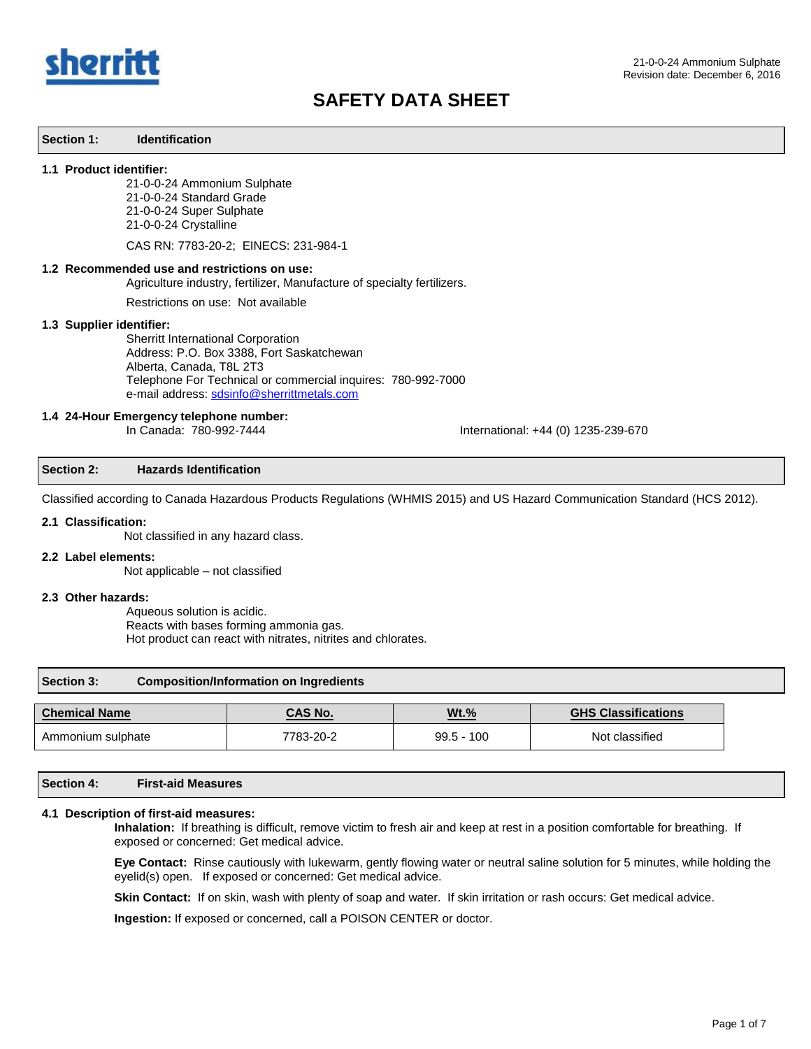

#### **Section 1: Identification**

#### **1.1 Product identifier:**

21-0-0-24 Ammonium Sulphate

21-0-0-24 Standard Grade

21-0-0-24 Super Sulphate

21-0-0-24 Crystalline

CAS RN: 7783-20-2; EINECS: 231-984-1

#### **1.2 Recommended use and restrictions on use:**

Agriculture industry, fertilizer, Manufacture of specialty fertilizers.

Restrictions on use: Not available

#### **1.3 Supplier identifier:**

Sherritt International Corporation Address: P.O. Box 3388, Fort Saskatchewan Alberta, Canada, T8L 2T3 Telephone For Technical or commercial inquires: 780-992-7000 e-mail address[: sdsinfo@sherrittmetals.com](mailto:sdsinfo@sherrittmetals.com)

# **1.4 24-Hour Emergency telephone number:**

International: +44 (0) 1235-239-670

#### **Section 2: Hazards Identification**

Classified according to Canada Hazardous Products Regulations (WHMIS 2015) and US Hazard Communication Standard (HCS 2012).

#### **2.1 Classification:**

Not classified in any hazard class.

#### **2.2 Label elements:**

Not applicable – not classified

#### **2.3 Other hazards:**

Aqueous solution is acidic. Reacts with bases forming ammonia gas. Hot product can react with nitrates, nitrites and chlorates.

#### **Section 3: Composition/Information on Ingredients**

| <b>Chemical Name</b> | <b>CAS No.</b> | Wt.%         | <b>GHS Classifications</b> |
|----------------------|----------------|--------------|----------------------------|
| Ammonium sulphate    | 7783-20-2      | $99.5 - 100$ | Not classified             |

### **Section 4: First-aid Measures**

#### **4.1 Description of first-aid measures:**

**Inhalation:** If breathing is difficult, remove victim to fresh air and keep at rest in a position comfortable for breathing. If exposed or concerned: Get medical advice.

**Eye Contact:** Rinse cautiously with lukewarm, gently flowing water or neutral saline solution for 5 minutes, while holding the eyelid(s) open. If exposed or concerned: Get medical advice.

**Skin Contact:** If on skin, wash with plenty of soap and water. If skin irritation or rash occurs: Get medical advice.

**Ingestion:** If exposed or concerned, call a POISON CENTER or doctor.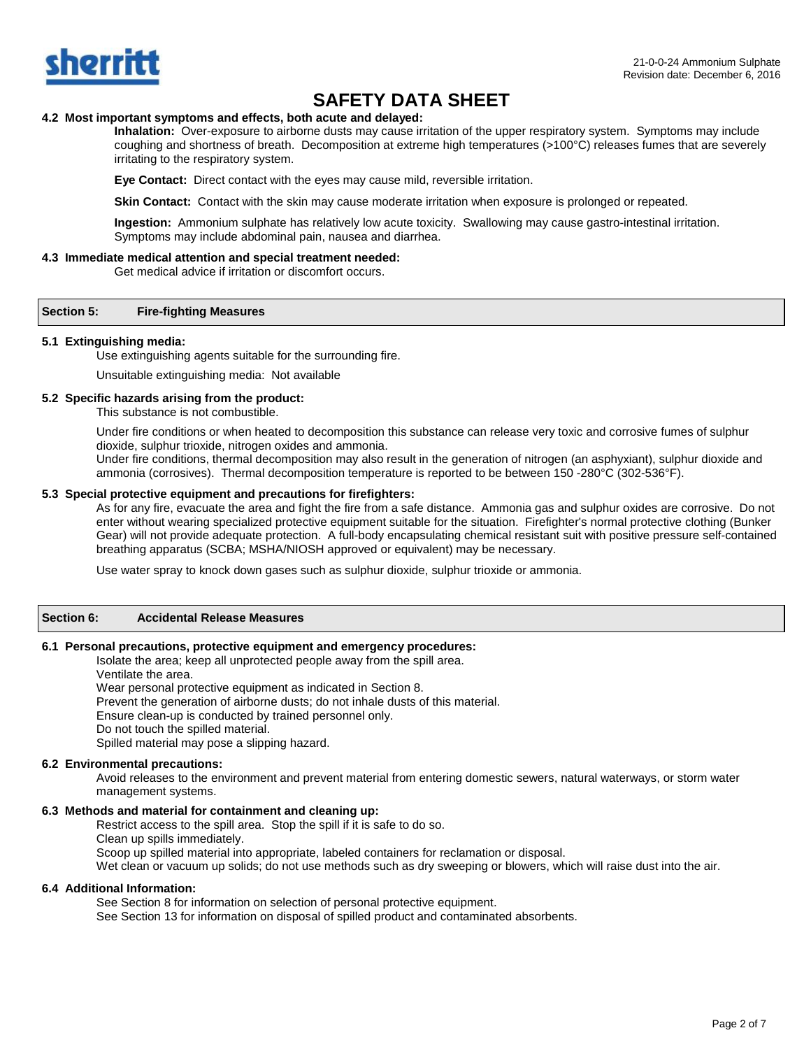

## **4.2 Most important symptoms and effects, both acute and delayed:**

**Inhalation:** Over-exposure to airborne dusts may cause irritation of the upper respiratory system. Symptoms may include coughing and shortness of breath. Decomposition at extreme high temperatures (>100°C) releases fumes that are severely irritating to the respiratory system.

**Eye Contact:** Direct contact with the eyes may cause mild, reversible irritation.

**Skin Contact:** Contact with the skin may cause moderate irritation when exposure is prolonged or repeated.

**Ingestion:** Ammonium sulphate has relatively low acute toxicity. Swallowing may cause gastro-intestinal irritation. Symptoms may include abdominal pain, nausea and diarrhea.

#### **4.3 Immediate medical attention and special treatment needed:**

Get medical advice if irritation or discomfort occurs.

#### **Section 5: Fire-fighting Measures**

#### **5.1 Extinguishing media:**

Use extinguishing agents suitable for the surrounding fire.

Unsuitable extinguishing media: Not available

#### **5.2 Specific hazards arising from the product:**

This substance is not combustible.

Under fire conditions or when heated to decomposition this substance can release very toxic and corrosive fumes of sulphur dioxide, sulphur trioxide, nitrogen oxides and ammonia.

Under fire conditions, thermal decomposition may also result in the generation of nitrogen (an asphyxiant), sulphur dioxide and ammonia (corrosives). Thermal decomposition temperature is reported to be between 150 -280°C (302-536°F).

## **5.3 Special protective equipment and precautions for firefighters:**

As for any fire, evacuate the area and fight the fire from a safe distance. Ammonia gas and sulphur oxides are corrosive. Do not enter without wearing specialized protective equipment suitable for the situation. Firefighter's normal protective clothing (Bunker Gear) will not provide adequate protection. A full-body encapsulating chemical resistant suit with positive pressure self-contained breathing apparatus (SCBA; MSHA/NIOSH approved or equivalent) may be necessary.

Use water spray to knock down gases such as sulphur dioxide, sulphur trioxide or ammonia.

### **Section 6: Accidental Release Measures**

#### **6.1 Personal precautions, protective equipment and emergency procedures:**

Isolate the area; keep all unprotected people away from the spill area. Ventilate the area. Wear personal protective equipment as indicated in Section 8. Prevent the generation of airborne dusts; do not inhale dusts of this material. Ensure clean-up is conducted by trained personnel only. Do not touch the spilled material. Spilled material may pose a slipping hazard.

### **6.2 Environmental precautions:**

Avoid releases to the environment and prevent material from entering domestic sewers, natural waterways, or storm water management systems.

#### **6.3 Methods and material for containment and cleaning up:**

Restrict access to the spill area. Stop the spill if it is safe to do so. Clean up spills immediately. Scoop up spilled material into appropriate, labeled containers for reclamation or disposal. Wet clean or vacuum up solids; do not use methods such as dry sweeping or blowers, which will raise dust into the air.

#### **6.4 Additional Information:**

See Section 8 for information on selection of personal protective equipment. See Section 13 for information on disposal of spilled product and contaminated absorbents.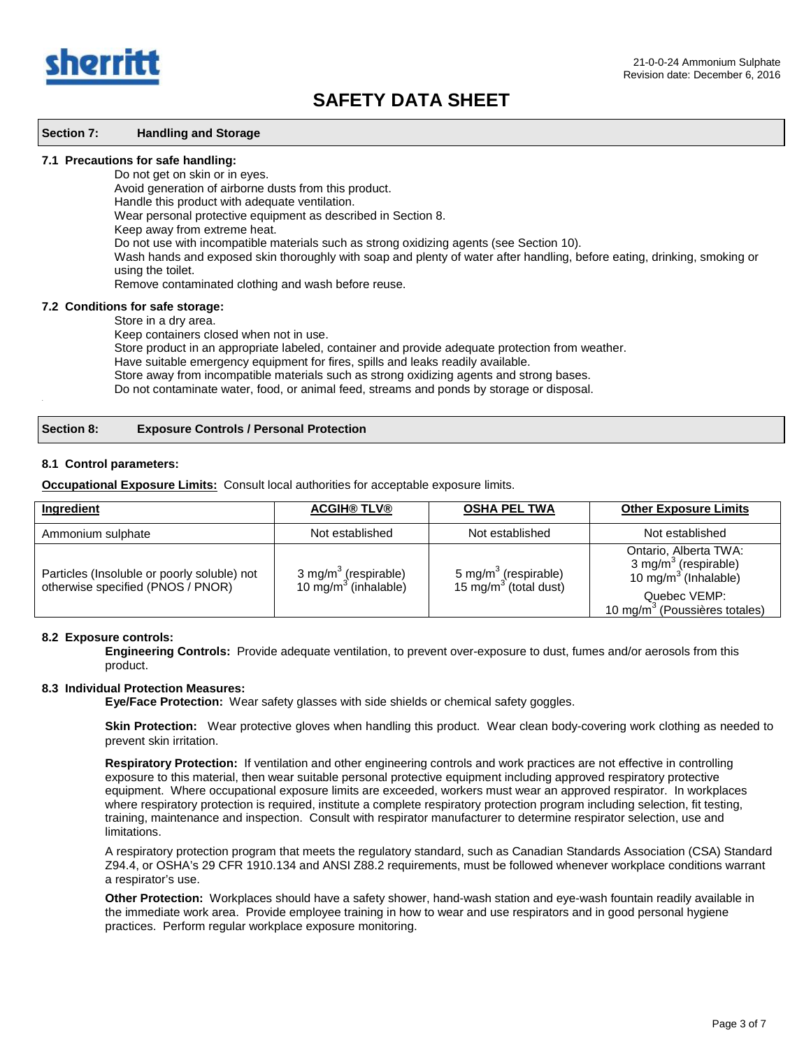

#### **Section 7: Handling and Storage**

#### **7.1 Precautions for safe handling:**

Do not get on skin or in eyes.

Avoid generation of airborne dusts from this product.

Handle this product with adequate ventilation.

Wear personal protective equipment as described in Section 8.

Keep away from extreme heat.

Do not use with incompatible materials such as strong oxidizing agents (see Section 10).

Wash hands and exposed skin thoroughly with soap and plenty of water after handling, before eating, drinking, smoking or using the toilet.

Remove contaminated clothing and wash before reuse.

#### **7.2 Conditions for safe storage:**

Store in a dry area.

Keep containers closed when not in use.

Store product in an appropriate labeled, container and provide adequate protection from weather.

Have suitable emergency equipment for fires, spills and leaks readily available.

Store away from incompatible materials such as strong oxidizing agents and strong bases.

Do not contaminate water, food, or animal feed, streams and ponds by storage or disposal. .

#### **Section 8: Exposure Controls / Personal Protection**

#### **8.1 Control parameters:**

**Occupational Exposure Limits:** Consult local authorities for acceptable exposure limits.

| Ingredient                                                                       | <b>ACGIH® TLV®</b>                                          | <b>OSHA PEL TWA</b>                                                   | <b>Other Exposure Limits</b>                                                                                                                      |
|----------------------------------------------------------------------------------|-------------------------------------------------------------|-----------------------------------------------------------------------|---------------------------------------------------------------------------------------------------------------------------------------------------|
| Ammonium sulphate                                                                | Not established                                             | Not established                                                       | Not established                                                                                                                                   |
| Particles (Insoluble or poorly soluble) not<br>otherwise specified (PNOS / PNOR) | 3 mg/m <sup>3</sup> (respirable)<br>10 mg/m $3$ (inhalable) | 5 mg/m <sup>3</sup> (respirable)<br>15 mg/m <sup>3</sup> (total dust) | Ontario, Alberta TWA:<br>3 mg/m <sup>3</sup> (respirable)<br>10 mg/m $3$ (Inhalable)<br>Quebec VEMP:<br>10 mg/m <sup>3</sup> (Poussières totales) |

#### **8.2 Exposure controls:**

**Engineering Controls:** Provide adequate ventilation, to prevent over-exposure to dust, fumes and/or aerosols from this product.

#### **8.3 Individual Protection Measures:**

**Eye/Face Protection:** Wear safety glasses with side shields or chemical safety goggles.

 **Skin Protection:** Wear protective gloves when handling this product. Wear clean body-covering work clothing as needed to prevent skin irritation.

**Respiratory Protection:** If ventilation and other engineering controls and work practices are not effective in controlling exposure to this material, then wear suitable personal protective equipment including approved respiratory protective equipment. Where occupational exposure limits are exceeded, workers must wear an approved respirator. In workplaces where respiratory protection is required, institute a complete respiratory protection program including selection, fit testing, training, maintenance and inspection. Consult with respirator manufacturer to determine respirator selection, use and limitations.

A respiratory protection program that meets the regulatory standard, such as Canadian Standards Association (CSA) Standard Z94.4, or OSHA's 29 CFR 1910.134 and ANSI Z88.2 requirements, must be followed whenever workplace conditions warrant a respirator's use.

**Other Protection:** Workplaces should have a safety shower, hand-wash station and eye-wash fountain readily available in the immediate work area. Provide employee training in how to wear and use respirators and in good personal hygiene practices. Perform regular workplace exposure monitoring.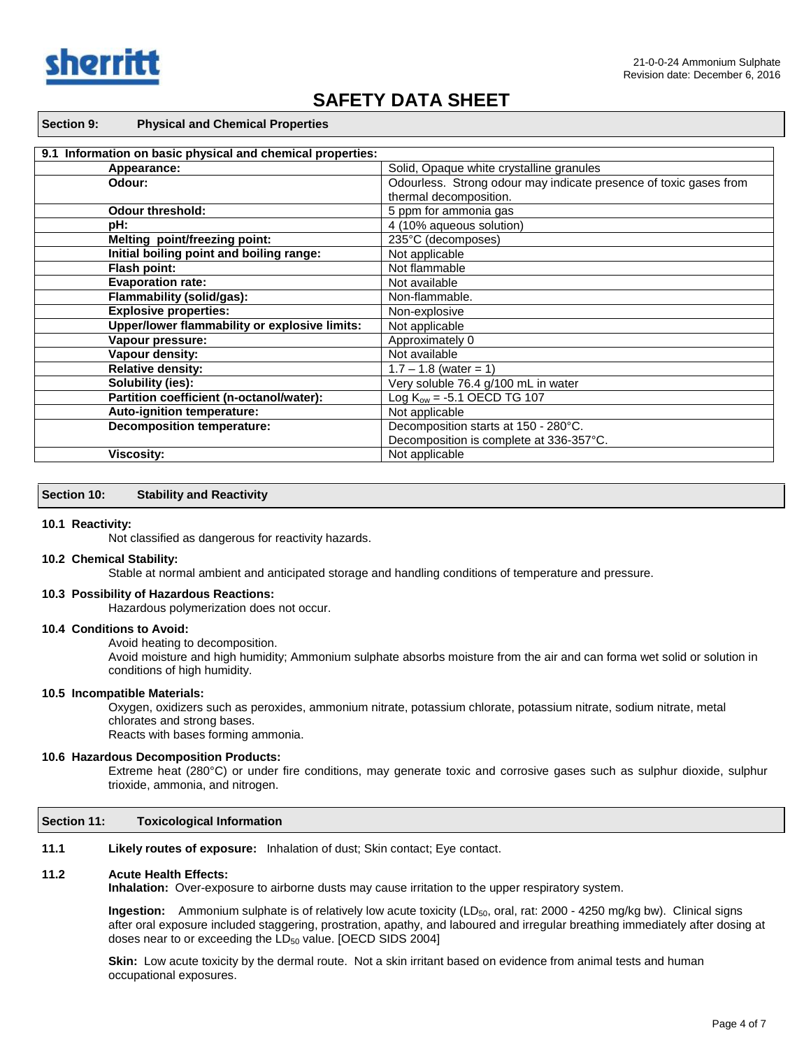

#### **Section 9: Physical and Chemical Properties**

| 9.1 Information on basic physical and chemical properties: |                                                                                             |  |
|------------------------------------------------------------|---------------------------------------------------------------------------------------------|--|
| Appearance:                                                | Solid, Opaque white crystalline granules                                                    |  |
| Odour:                                                     | Odourless. Strong odour may indicate presence of toxic gases from<br>thermal decomposition. |  |
|                                                            |                                                                                             |  |
| <b>Odour threshold:</b>                                    | 5 ppm for ammonia gas                                                                       |  |
| pH:                                                        | 4 (10% aqueous solution)                                                                    |  |
| Melting point/freezing point:                              | 235°C (decomposes)                                                                          |  |
| Initial boiling point and boiling range:                   | Not applicable                                                                              |  |
| Flash point:                                               | Not flammable                                                                               |  |
| <b>Evaporation rate:</b>                                   | Not available                                                                               |  |
| Flammability (solid/gas):                                  | Non-flammable.                                                                              |  |
| <b>Explosive properties:</b>                               | Non-explosive                                                                               |  |
| Upper/lower flammability or explosive limits:              | Not applicable                                                                              |  |
| Vapour pressure:                                           | Approximately 0                                                                             |  |
| Vapour density:                                            | Not available                                                                               |  |
| <b>Relative density:</b>                                   | $1.7 - 1.8$ (water = 1)                                                                     |  |
| Solubility (ies):                                          | Very soluble 76.4 g/100 mL in water                                                         |  |
| Partition coefficient (n-octanol/water):                   | Log $K_{ow} = -5.1$ OECD TG 107                                                             |  |
| Auto-ignition temperature:                                 | Not applicable                                                                              |  |
| <b>Decomposition temperature:</b>                          | Decomposition starts at 150 - 280°C.                                                        |  |
|                                                            | Decomposition is complete at 336-357°C.                                                     |  |
| <b>Viscosity:</b>                                          | Not applicable                                                                              |  |

#### **Section 10: Stability and Reactivity**

#### **10.1 Reactivity:**

Not classified as dangerous for reactivity hazards.

#### **10.2 Chemical Stability:**

Stable at normal ambient and anticipated storage and handling conditions of temperature and pressure.

#### **10.3 Possibility of Hazardous Reactions:**

Hazardous polymerization does not occur.

#### **10.4 Conditions to Avoid:**

Avoid heating to decomposition.

Avoid moisture and high humidity; Ammonium sulphate absorbs moisture from the air and can forma wet solid or solution in conditions of high humidity.

#### **10.5 Incompatible Materials:**

Oxygen, oxidizers such as peroxides, ammonium nitrate, potassium chlorate, potassium nitrate, sodium nitrate, metal chlorates and strong bases. Reacts with bases forming ammonia.

### **10.6 Hazardous Decomposition Products:**

Extreme heat (280°C) or under fire conditions, may generate toxic and corrosive gases such as sulphur dioxide, sulphur trioxide, ammonia, and nitrogen.

#### **Section 11: Toxicological Information**

**11.1 Likely routes of exposure:** Inhalation of dust; Skin contact; Eye contact.

#### **11.2 Acute Health Effects:**

**Inhalation:** Over-exposure to airborne dusts may cause irritation to the upper respiratory system.

**Ingestion:** Ammonium sulphate is of relatively low acute toxicity (LD<sub>50</sub>, oral, rat: 2000 - 4250 mg/kg bw). Clinical signs after oral exposure included staggering, prostration, apathy, and laboured and irregular breathing immediately after dosing at doses near to or exceeding the  $LD_{50}$  value. [OECD SIDS 2004]

**Skin:** Low acute toxicity by the dermal route. Not a skin irritant based on evidence from animal tests and human occupational exposures.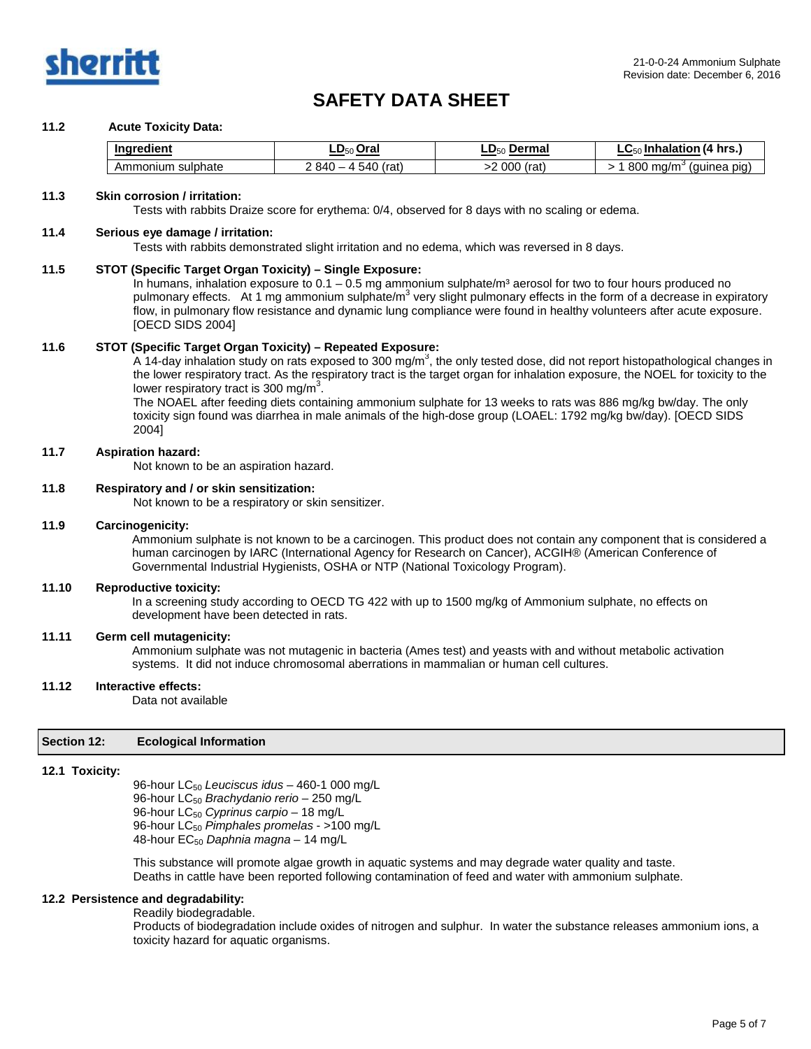

## **11.2 Acute Toxicity Data:**

| <b>Ingredient</b>        | $LD_{50}$ Oral      | -Dar<br>`ermaï          | <u>າ (4 hrs. </u><br>Inhalation<br>- טע |
|--------------------------|---------------------|-------------------------|-----------------------------------------|
| sulphate<br>Amr<br>nomun | 540<br>840<br>(rat) | 00C<br>$'$ rot.<br>ιαι. | 800<br>∍ma/m<br>quinea piq<br>$\cdot$ . |

#### **11.3 Skin corrosion / irritation:**

Tests with rabbits Draize score for erythema: 0/4, observed for 8 days with no scaling or edema.

#### **11.4 Serious eye damage / irritation:**

Tests with rabbits demonstrated slight irritation and no edema, which was reversed in 8 days.

#### **11.5 STOT (Specific Target Organ Toxicity) – Single Exposure:**

In humans, inhalation exposure to  $0.1 - 0.5$  mg ammonium sulphate/m<sup>3</sup> aerosol for two to four hours produced no pulmonary effects. At 1 mg ammonium sulphate/ $m<sup>3</sup>$  very slight pulmonary effects in the form of a decrease in expiratory flow, in pulmonary flow resistance and dynamic lung compliance were found in healthy volunteers after acute exposure. [OECD SIDS 2004]

#### **11.6 STOT (Specific Target Organ Toxicity) – Repeated Exposure:**

A 14-day inhalation study on rats exposed to 300 mg/m<sup>3</sup>, the only tested dose, did not report histopathological changes in the lower respiratory tract. As the respiratory tract is the target organ for inhalation exposure, the NOEL for toxicity to the lower respiratory tract is 300 mg/m<sup>3</sup>.

The NOAEL after feeding diets containing ammonium sulphate for 13 weeks to rats was 886 mg/kg bw/day. The only toxicity sign found was diarrhea in male animals of the high-dose group (LOAEL: 1792 mg/kg bw/day). [OECD SIDS 2004]

#### **11.7 Aspiration hazard:**

Not known to be an aspiration hazard.

#### **11.8 Respiratory and / or skin sensitization:**

Not known to be a respiratory or skin sensitizer.

### **11.9 Carcinogenicity:**

Ammonium sulphate is not known to be a carcinogen. This product does not contain any component that is considered a human carcinogen by IARC (International Agency for Research on Cancer), ACGIH® (American Conference of Governmental Industrial Hygienists, OSHA or NTP (National Toxicology Program).

#### **11.10 Reproductive toxicity:**

In a screening study according to OECD TG 422 with up to 1500 mg/kg of Ammonium sulphate, no effects on development have been detected in rats.

### **11.11 Germ cell mutagenicity:**

Ammonium sulphate was not mutagenic in bacteria (Ames test) and yeasts with and without metabolic activation systems. It did not induce chromosomal aberrations in mammalian or human cell cultures.

#### **11.12 Interactive effects:**

Data not available

#### **Section 12: Ecological Information**

#### **12.1 Toxicity:**

96-hour LC50 *Leuciscus idus* – 460-1 000 mg/L 96-hour LC<sub>50</sub> Brachydanio rerio - 250 mg/L 96-hour LC50 *Cyprinus carpio* – 18 mg/L 96-hour LC50 *Pimphales promelas* - >100 mg/L 48-hour EC50 *Daphnia magna* – 14 mg/L

This substance will promote algae growth in aquatic systems and may degrade water quality and taste. Deaths in cattle have been reported following contamination of feed and water with ammonium sulphate.

## **12.2 Persistence and degradability:**

Readily biodegradable.

Products of biodegradation include oxides of nitrogen and sulphur. In water the substance releases ammonium ions, a toxicity hazard for aquatic organisms.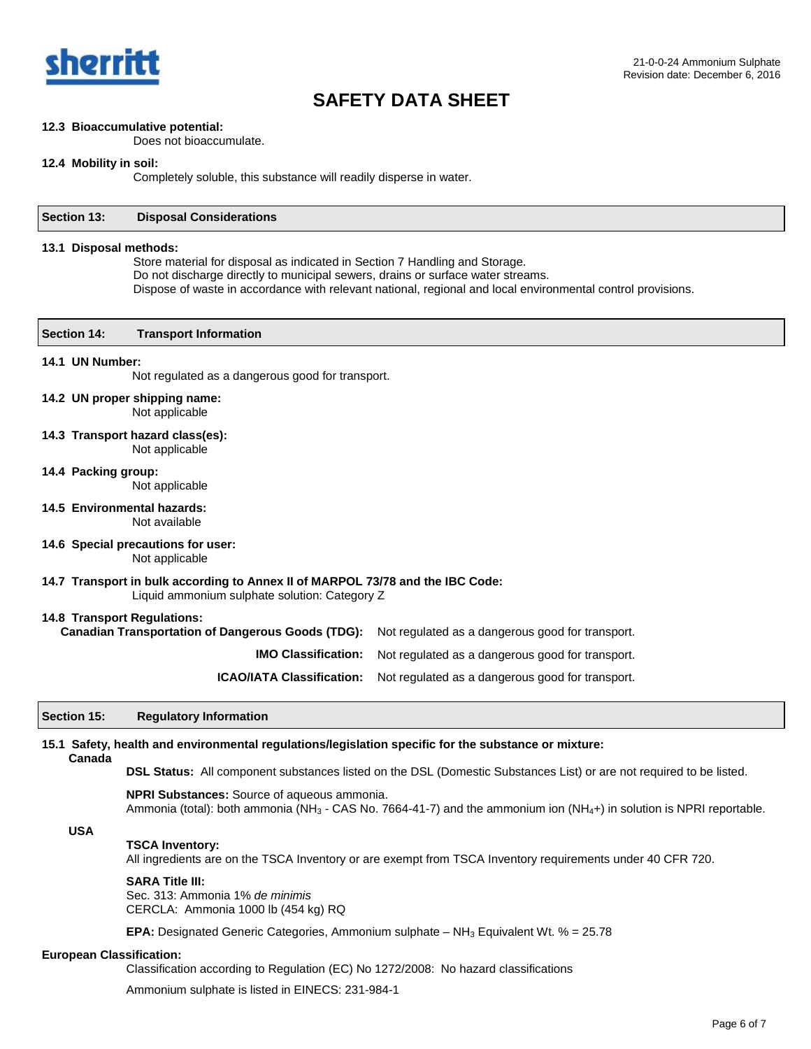

## **12.3 Bioaccumulative potential:**

Does not bioaccumulate.

## **12.4 Mobility in soil:**

Completely soluble, this substance will readily disperse in water.

| Section 13:            | <b>Disposal Considerations</b>                                                                                                                                                                                                                                                |
|------------------------|-------------------------------------------------------------------------------------------------------------------------------------------------------------------------------------------------------------------------------------------------------------------------------|
| 13.1 Disposal methods: | Store material for disposal as indicated in Section 7 Handling and Storage.<br>Do not discharge directly to municipal sewers, drains or surface water streams.<br>Dispose of waste in accordance with relevant national, regional and local environmental control provisions. |
| <b>Section 14:</b>     | <b>Transport Information</b>                                                                                                                                                                                                                                                  |
| 14.1 UN Number:        | Not regulated as a dangerous good for transport.                                                                                                                                                                                                                              |
|                        | 14.2 UN proper shipping name:<br>Not applicable                                                                                                                                                                                                                               |
|                        | 14.3 Transport hazard class(es):<br>Not applicable                                                                                                                                                                                                                            |
| 14.4 Packing group:    | Not applicable                                                                                                                                                                                                                                                                |
|                        | 14.5 Environmental hazards:<br>Not available                                                                                                                                                                                                                                  |
|                        | 14.6 Special precautions for user:<br>Not applicable                                                                                                                                                                                                                          |
|                        | 14.7 Transport in bulk according to Annex II of MARPOL 73/78 and the IBC Code:<br>Liquid ammonium sulphate solution: Category Z                                                                                                                                               |
|                        | 14.8 Transport Regulations:<br><b>Canadian Transportation of Dangerous Goods (TDG):</b><br>Not regulated as a dangerous good for transport.                                                                                                                                   |
|                        | <b>IMO Classification:</b><br>Not regulated as a dangerous good for transport.                                                                                                                                                                                                |
|                        | <b>ICAO/IATA Classification:</b><br>Not regulated as a dangerous good for transport.                                                                                                                                                                                          |
| Section 15:            | <b>Regulatory Information</b>                                                                                                                                                                                                                                                 |
| Canada                 | 15.1 Safety, health and environmental regulations/legislation specific for the substance or mixture:                                                                                                                                                                          |
|                        | DSL Status: All component substances listed on the DSL (Domestic Substances List) or are not required to be listed.                                                                                                                                                           |
|                        | <b>NPRI Substances:</b> Source of aqueous ammonia.<br>Ammonia (total): both ammonia (NH <sub>3</sub> - CAS No. 7664-41-7) and the ammonium ion (NH <sub>4</sub> +) in solution is NPRI reportable.                                                                            |
| <b>USA</b>             | <b>TSCA Inventory:</b><br>All ingredients are on the TSCA Inventory or are exempt from TSCA Inventory requirements under 40 CFR 720.                                                                                                                                          |
|                        | <b>SARA Title III:</b><br>Sec. 313: Ammonia 1% de minimis<br>CERCLA: Ammonia 1000 lb (454 kg) RQ                                                                                                                                                                              |
|                        | <b>EPA:</b> Designated Generic Categories, Ammonium sulphate – NH <sub>3</sub> Equivalent Wt. % = 25.78                                                                                                                                                                       |
|                        |                                                                                                                                                                                                                                                                               |

## **European Classification:**

Classification according to Regulation (EC) No 1272/2008: No hazard classifications

Ammonium sulphate is listed in EINECS: 231-984-1